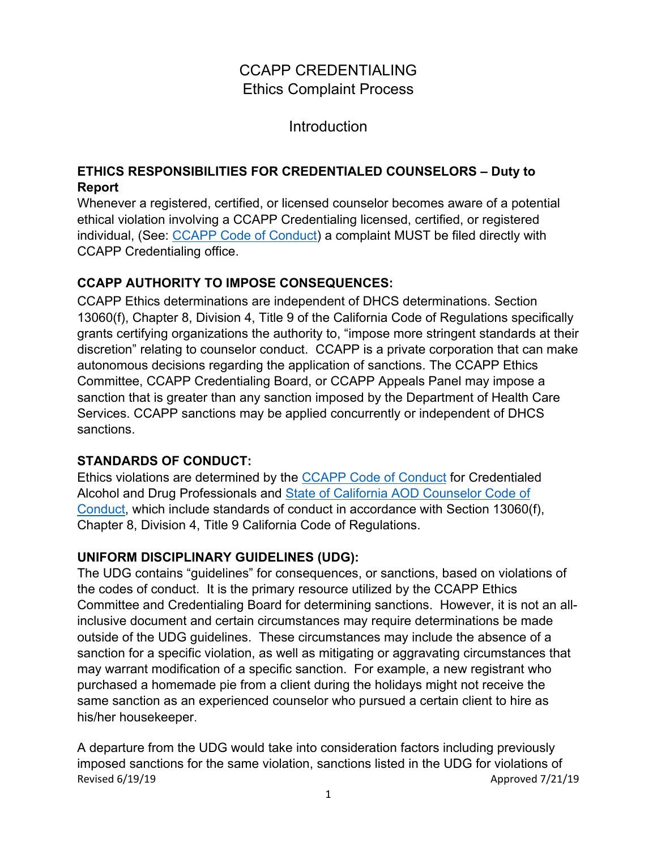# CCAPP CREDENTIALING Ethics Complaint Process

Introduction

### **ETHICS RESPONSIBILITIES FOR CREDENTIALED COUNSELORS – Duty to Report**

Whenever a registered, certified, or licensed counselor becomes aware of a potential ethical violation involving a CCAPP Credentialing licensed, certified, or registered individual, (See: [CCAPP Code of Conduct\)](https://www.ccapp.us/index.php/download_file/view/100/213) a complaint MUST be filed directly with CCAPP Credentialing office.

## **CCAPP AUTHORITY TO IMPOSE CONSEQUENCES:**

CCAPP Ethics determinations are independent of DHCS determinations. Section 13060(f), Chapter 8, Division 4, Title 9 of the California Code of Regulations specifically grants certifying organizations the authority to, "impose more stringent standards at their discretion" relating to counselor conduct. CCAPP is a private corporation that can make autonomous decisions regarding the application of sanctions. The CCAPP Ethics Committee, CCAPP Credentialing Board, or CCAPP Appeals Panel may impose a sanction that is greater than any sanction imposed by the Department of Health Care Services. CCAPP sanctions may be applied concurrently or independent of DHCS sanctions.

## **STANDARDS OF CONDUCT:**

Ethics violations are determined by the [CCAPP Code of Conduct](https://www.ccapp.us/index.php/download_file/view/100/213) for Credentialed Alcohol and Drug Professionals and [State of California AOD Counselor Code of](https://www.ccapp.us/index.php/download_file/view/99/213)  [Conduct,](https://www.ccapp.us/index.php/download_file/view/99/213) which include standards of conduct in accordance with Section 13060(f), Chapter 8, Division 4, Title 9 California Code of Regulations.

# **UNIFORM DISCIPLINARY GUIDELINES (UDG):**

The UDG contains "guidelines" for consequences, or sanctions, based on violations of the codes of conduct. It is the primary resource utilized by the CCAPP Ethics Committee and Credentialing Board for determining sanctions. However, it is not an allinclusive document and certain circumstances may require determinations be made outside of the UDG guidelines. These circumstances may include the absence of a sanction for a specific violation, as well as mitigating or aggravating circumstances that may warrant modification of a specific sanction. For example, a new registrant who purchased a homemade pie from a client during the holidays might not receive the same sanction as an experienced counselor who pursued a certain client to hire as his/her housekeeper.

Revised 6/19/19 **Approved 7/21/19 Approved 7/21/19** A departure from the UDG would take into consideration factors including previously imposed sanctions for the same violation, sanctions listed in the UDG for violations of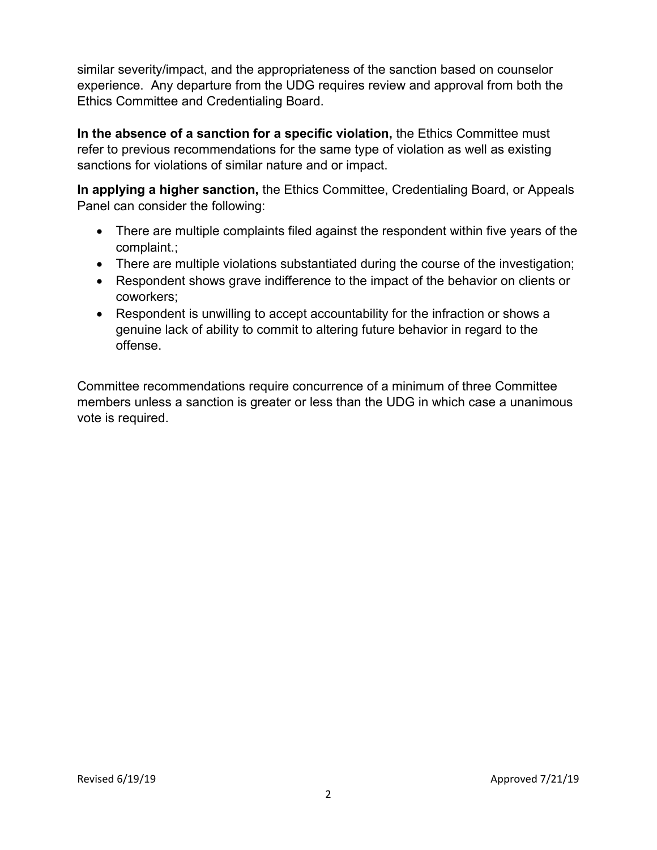similar severity/impact, and the appropriateness of the sanction based on counselor experience. Any departure from the UDG requires review and approval from both the Ethics Committee and Credentialing Board.

**In the absence of a sanction for a specific violation,** the Ethics Committee must refer to previous recommendations for the same type of violation as well as existing sanctions for violations of similar nature and or impact.

**In applying a higher sanction,** the Ethics Committee, Credentialing Board, or Appeals Panel can consider the following:

- There are multiple complaints filed against the respondent within five years of the complaint.;
- There are multiple violations substantiated during the course of the investigation;
- Respondent shows grave indifference to the impact of the behavior on clients or coworkers;
- Respondent is unwilling to accept accountability for the infraction or shows a genuine lack of ability to commit to altering future behavior in regard to the offense.

Committee recommendations require concurrence of a minimum of three Committee members unless a sanction is greater or less than the UDG in which case a unanimous vote is required.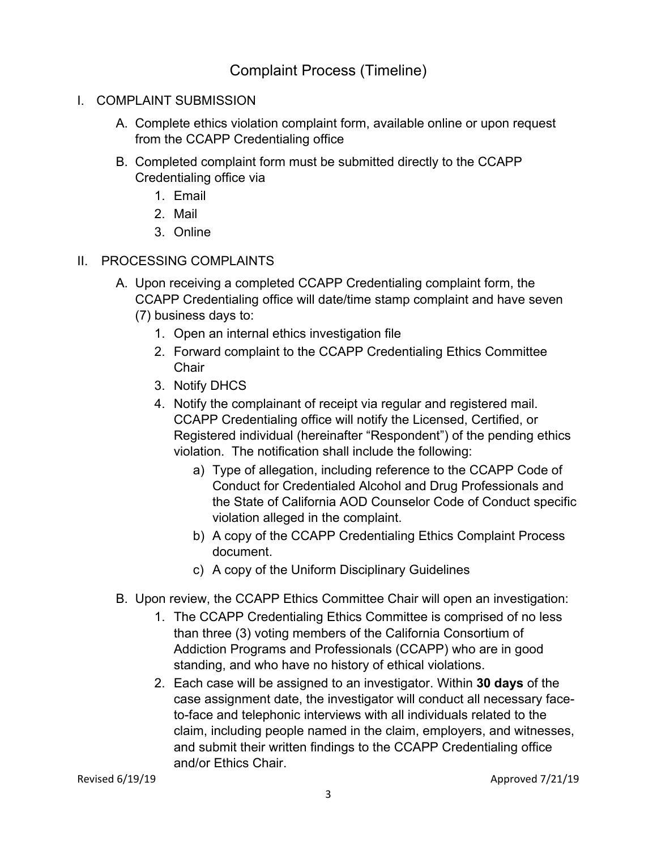Complaint Process (Timeline)

- I. COMPLAINT SUBMISSION
	- A. Complete ethics violation complaint form, available online or upon request from the CCAPP Credentialing office
	- B. Completed complaint form must be submitted directly to the CCAPP Credentialing office via
		- 1. Email
		- 2. Mail
		- 3. Online
- II. PROCESSING COMPLAINTS
	- A. Upon receiving a completed CCAPP Credentialing complaint form, the CCAPP Credentialing office will date/time stamp complaint and have seven (7) business days to:
		- 1. Open an internal ethics investigation file
		- 2. Forward complaint to the CCAPP Credentialing Ethics Committee **Chair**
		- 3. Notify DHCS
		- 4. Notify the complainant of receipt via regular and registered mail. CCAPP Credentialing office will notify the Licensed, Certified, or Registered individual (hereinafter "Respondent") of the pending ethics violation. The notification shall include the following:
			- a) Type of allegation, including reference to the CCAPP Code of Conduct for Credentialed Alcohol and Drug Professionals and the State of California AOD Counselor Code of Conduct specific violation alleged in the complaint.
			- b) A copy of the CCAPP Credentialing Ethics Complaint Process document.
			- c) A copy of the Uniform Disciplinary Guidelines
	- B. Upon review, the CCAPP Ethics Committee Chair will open an investigation:
		- 1. The CCAPP Credentialing Ethics Committee is comprised of no less than three (3) voting members of the California Consortium of Addiction Programs and Professionals (CCAPP) who are in good standing, and who have no history of ethical violations.
		- 2. Each case will be assigned to an investigator. Within **30 days** of the case assignment date, the investigator will conduct all necessary faceto-face and telephonic interviews with all individuals related to the claim, including people named in the claim, employers, and witnesses, and submit their written findings to the CCAPP Credentialing office and/or Ethics Chair.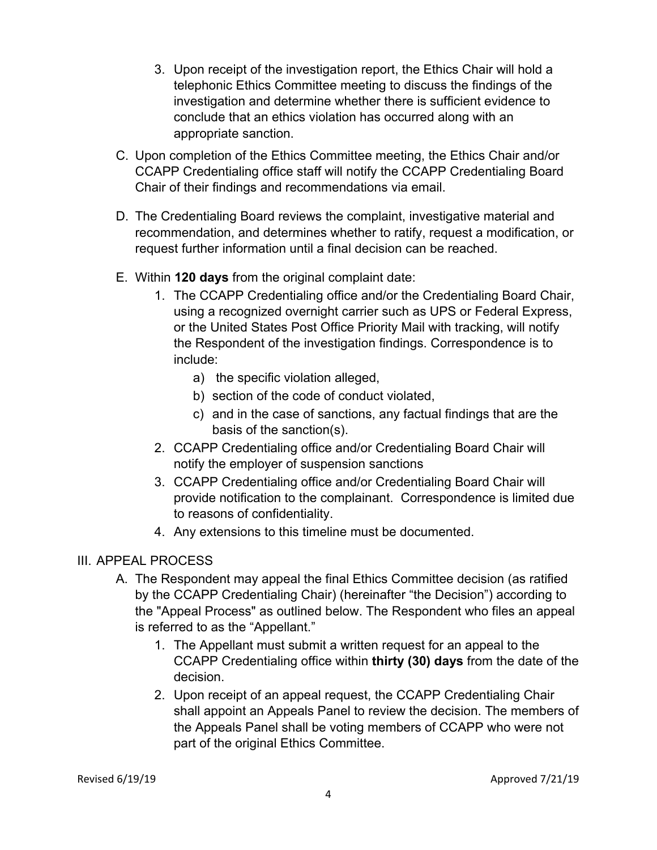- 3. Upon receipt of the investigation report, the Ethics Chair will hold a telephonic Ethics Committee meeting to discuss the findings of the investigation and determine whether there is sufficient evidence to conclude that an ethics violation has occurred along with an appropriate sanction.
- C. Upon completion of the Ethics Committee meeting, the Ethics Chair and/or CCAPP Credentialing office staff will notify the CCAPP Credentialing Board Chair of their findings and recommendations via email.
- D. The Credentialing Board reviews the complaint, investigative material and recommendation, and determines whether to ratify, request a modification, or request further information until a final decision can be reached.
- E. Within **120 days** from the original complaint date:
	- 1. The CCAPP Credentialing office and/or the Credentialing Board Chair, using a recognized overnight carrier such as UPS or Federal Express, or the United States Post Office Priority Mail with tracking, will notify the Respondent of the investigation findings. Correspondence is to include:
		- a) the specific violation alleged,
		- b) section of the code of conduct violated,
		- c) and in the case of sanctions, any factual findings that are the basis of the sanction(s).
	- 2. CCAPP Credentialing office and/or Credentialing Board Chair will notify the employer of suspension sanctions
	- 3. CCAPP Credentialing office and/or Credentialing Board Chair will provide notification to the complainant. Correspondence is limited due to reasons of confidentiality.
	- 4. Any extensions to this timeline must be documented.

### III. APPEAL PROCESS

- A. The Respondent may appeal the final Ethics Committee decision (as ratified by the CCAPP Credentialing Chair) (hereinafter "the Decision") according to the "Appeal Process" as outlined below. The Respondent who files an appeal is referred to as the "Appellant."
	- 1. The Appellant must submit a written request for an appeal to the CCAPP Credentialing office within **thirty (30) days** from the date of the decision.
	- 2. Upon receipt of an appeal request, the CCAPP Credentialing Chair shall appoint an Appeals Panel to review the decision. The members of the Appeals Panel shall be voting members of CCAPP who were not part of the original Ethics Committee.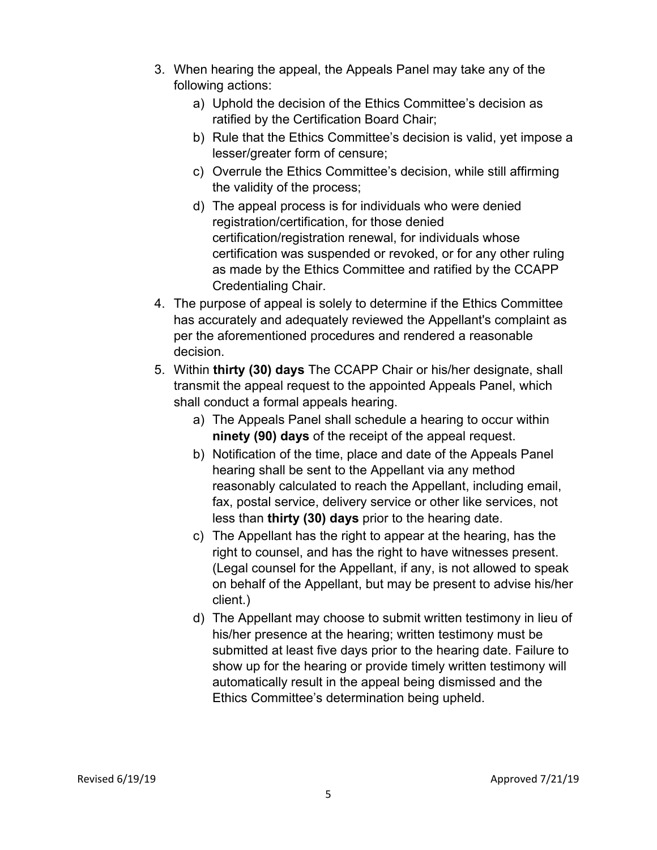- 3. When hearing the appeal, the Appeals Panel may take any of the following actions:
	- a) Uphold the decision of the Ethics Committee's decision as ratified by the Certification Board Chair;
	- b) Rule that the Ethics Committee's decision is valid, yet impose a lesser/greater form of censure;
	- c) Overrule the Ethics Committee's decision, while still affirming the validity of the process;
	- d) The appeal process is for individuals who were denied registration/certification, for those denied certification/registration renewal, for individuals whose certification was suspended or revoked, or for any other ruling as made by the Ethics Committee and ratified by the CCAPP Credentialing Chair.
- 4. The purpose of appeal is solely to determine if the Ethics Committee has accurately and adequately reviewed the Appellant's complaint as per the aforementioned procedures and rendered a reasonable decision.
- 5. Within **thirty (30) days** The CCAPP Chair or his/her designate, shall transmit the appeal request to the appointed Appeals Panel, which shall conduct a formal appeals hearing.
	- a) The Appeals Panel shall schedule a hearing to occur within **ninety (90) days** of the receipt of the appeal request.
	- b) Notification of the time, place and date of the Appeals Panel hearing shall be sent to the Appellant via any method reasonably calculated to reach the Appellant, including email, fax, postal service, delivery service or other like services, not less than **thirty (30) days** prior to the hearing date.
	- c) The Appellant has the right to appear at the hearing, has the right to counsel, and has the right to have witnesses present. (Legal counsel for the Appellant, if any, is not allowed to speak on behalf of the Appellant, but may be present to advise his/her client.)
	- d) The Appellant may choose to submit written testimony in lieu of his/her presence at the hearing; written testimony must be submitted at least five days prior to the hearing date. Failure to show up for the hearing or provide timely written testimony will automatically result in the appeal being dismissed and the Ethics Committee's determination being upheld.